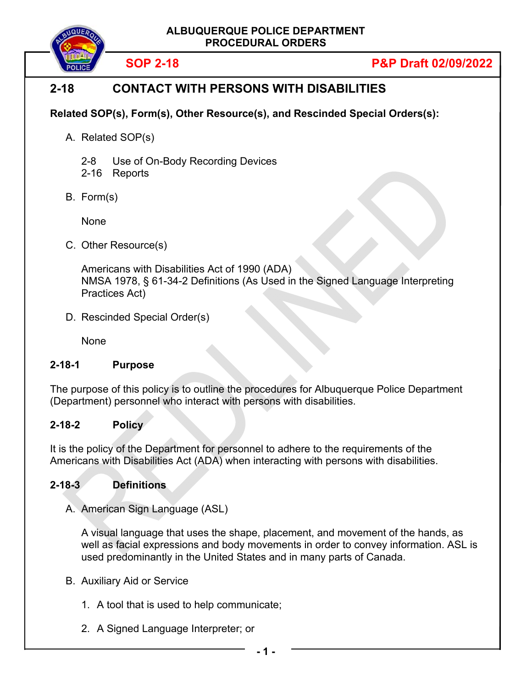

# **SOP 2-18 P&P Draft 02/09/2022**

# **2-18 CONTACT WITH PERSONS WITH DISABILITIES**

## **Related SOP(s), Form(s), Other Resource(s), and Rescinded Special Orders(s):**

- A. Related SOP(s)
	- 2-8 Use of On-Body Recording Devices
	- 2-16 Reports
- B. Form(s)

None

C. Other Resource(s)

Americans with Disabilities Act of 1990 (ADA) NMSA 1978, § 61-34-2 Definitions (As Used in the Signed Language Interpreting Practices Act)

D. Rescinded Special Order(s)

None

## **2-18-1 Purpose**

The purpose of this policy is to outline the procedures for Albuquerque Police Department (Department) personnel who interact with persons with disabilities.

## **2-18-2 Policy**

It is the policy of the Department for personnel to adhere to the requirements of the Americans with Disabilities Act (ADA) when interacting with persons with disabilities.

## **2-18-3 Definitions**

A. American Sign Language (ASL)

A visual language that uses the shape, placement, and movement of the hands, as well as facial expressions and body movements in order to convey information. ASL is used predominantly in the United States and in many parts of Canada.

- B. Auxiliary Aid or Service
	- 1. A tool that is used to help communicate;
	- 2. A Signed Language Interpreter; or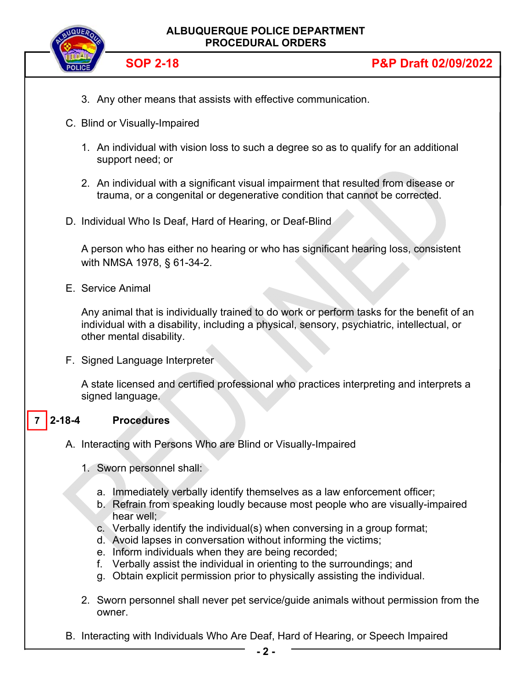

- 3. Any other means that assists with effective communication.
- C. Blind or Visually-Impaired
	- 1. An individual with vision loss to such a degree so as to qualify for an additional support need; or
	- 2. An individual with a significant visual impairment that resulted from disease or trauma, or a congenital or degenerative condition that cannot be corrected.
- D. Individual Who Is Deaf, Hard of Hearing, or Deaf-Blind

A person who has either no hearing or who has significant hearing loss, consistent with NMSA 1978, § 61-34-2.

E. Service Animal

Any animal that is individually trained to do work or perform tasks for the benefit of an individual with a disability, including a physical, sensory, psychiatric, intellectual, or other mental disability.

F. Signed Language Interpreter

A state licensed and certified professional who practices interpreting and interprets a signed language.

#### **2-18-4 Procedures 7**

- A. Interacting with Persons Who are Blind or Visually-Impaired
	- 1. Sworn personnel shall:
		- a. Immediately verbally identify themselves as a law enforcement officer;
		- b. Refrain from speaking loudly because most people who are visually-impaired hear well;
		- c. Verbally identify the individual(s) when conversing in a group format;
		- d. Avoid lapses in conversation without informing the victims;
		- e. Inform individuals when they are being recorded;
		- f. Verbally assist the individual in orienting to the surroundings; and
		- g. Obtain explicit permission prior to physically assisting the individual.
	- 2. Sworn personnel shall never pet service/guide animals without permission from the owner.
- B. Interacting with Individuals Who Are Deaf, Hard of Hearing, or Speech Impaired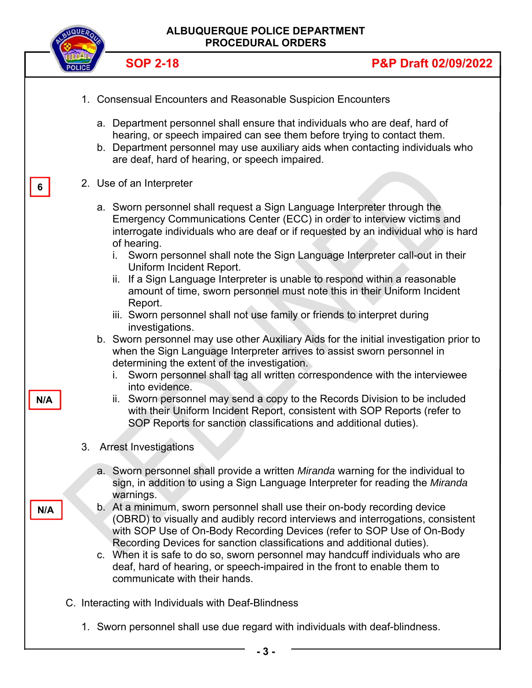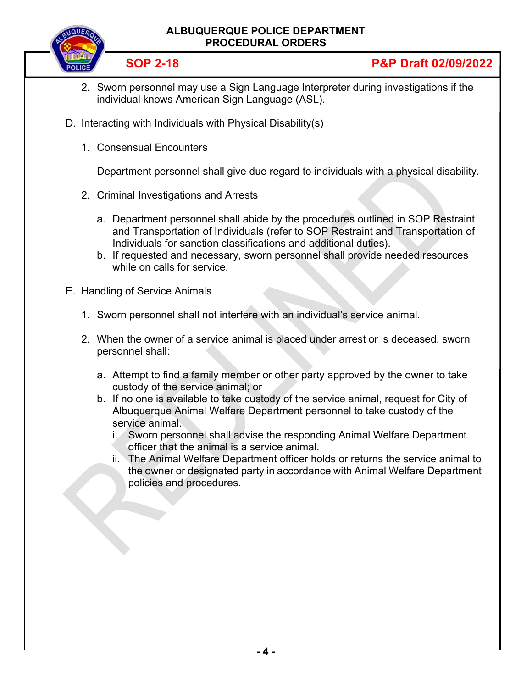## **ALBUQUERQUE POLICE DEPARTMENT PROCEDURAL ORDERS**



## **SOP 2-18 P&P Draft 02/09/2022**

- 2. Sworn personnel may use a Sign Language Interpreter during investigations if the individual knows American Sign Language (ASL).
- D. Interacting with Individuals with Physical Disability(s)
	- 1. Consensual Encounters

Department personnel shall give due regard to individuals with a physical disability.

- 2. Criminal Investigations and Arrests
	- a. Department personnel shall abide by the procedures outlined in SOP Restraint and Transportation of Individuals (refer to SOP Restraint and Transportation of Individuals for sanction classifications and additional duties).
	- b. If requested and necessary, sworn personnel shall provide needed resources while on calls for service.
- E. Handling of Service Animals
	- 1. Sworn personnel shall not interfere with an individual's service animal.
	- 2. When the owner of a service animal is placed under arrest or is deceased, sworn personnel shall:
		- a. Attempt to find a family member or other party approved by the owner to take custody of the service animal; or
		- b. If no one is available to take custody of the service animal, request for City of Albuquerque Animal Welfare Department personnel to take custody of the service animal.
			- i. Sworn personnel shall advise the responding Animal Welfare Department officer that the animal is a service animal.
			- ii. The Animal Welfare Department officer holds or returns the service animal to the owner or designated party in accordance with Animal Welfare Department policies and procedures.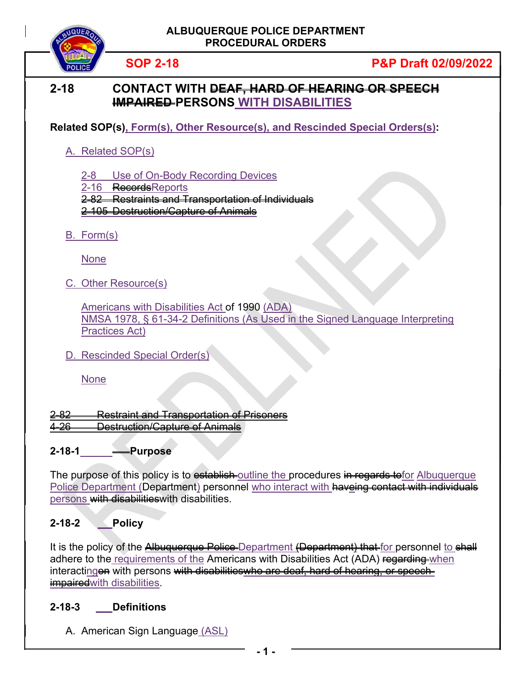

## **SOP 2-18 P&P Draft 02/09/2022**

## **2-18 CONTACT WITH DEAF, HARD OF HEARING OR SPEECH IMPAIRED PERSONS WITH DISABILITIES**

**Related SOP(s), Form(s), Other Resource(s), and Rescinded Special Orders(s):**

## A. Related SOP(s)

2-8 Use of On-Body Recording Devices

2-16 RecordsReports

2-82 Restraints and Transportation of Individuals

2-105 Destruction/Capture of Animals

B. Form(s)

None

C. Other Resource(s)

Americans with Disabilities Act of 1990 (ADA) NMSA 1978, § 61-34-2 Definitions (As Used in the Signed Language Interpreting Practices Act)

D. Rescinded Special Order(s)

None

2-82 Restraint and Transportation of Prisoners 4-26 Destruction/Capture of Animals

## **2-18-1 Purpose**

The purpose of this policy is to establish outline the procedures in regards to for Albuquerque Police Department (Department) personnel who interact with haveing contact with individuals persons with disabilities with disabilities.

## **2-18-2 Policy**

It is the policy of the Albuquerque Police Department (Department) that for personnel to shall adhere to the requirements of the Americans with Disabilities Act (ADA) regarding when interactingon with persons with disabilitieswho are deaf, hard of hearing, or speechimpairedwith disabilities.

### **2-18-3 Definitions**

A. American Sign Language (ASL)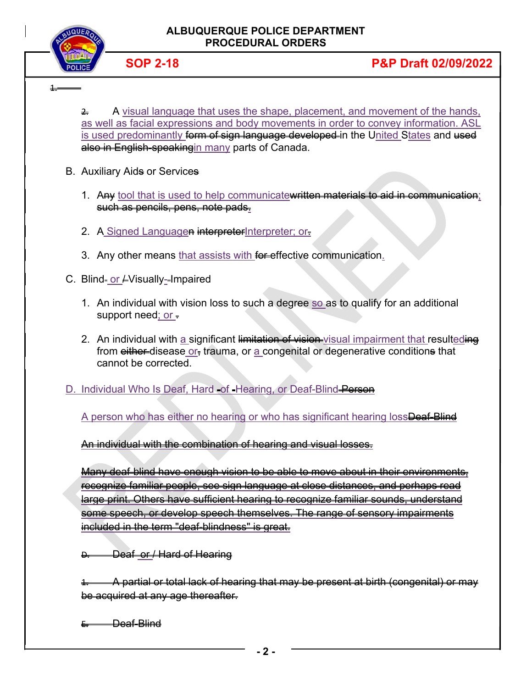

1.

 $\triangle$  A visual language that uses the shape, placement, and movement of the hands, as well as facial expressions and body movements in order to convey information. ASL is used predominantly <del>form of sign language developed </del>in the United States and used also in English-speakingin many parts of Canada.

- **B.** Auxiliary Aids or Services
	- 1. Any tool that is used to help communicate written materials to aid in communication; such as pencils, pens, note pads.
	- 2. A Signed Languagen interpreterInterpreter; or-
	- 3. Any other means that assists with for effective communication.
- C. Blind- or  $\neq$  Visually--Impaired
	- 1. An individual with vision loss to such a degree so as to qualify for an additional support need; or  $\pm$
	- 2. An individual with a significant limitation of vision visual impairment that resulteding from either-disease or, trauma, or a congenital or degenerative conditions that cannot be corrected.

D. Individual Who Is Deaf, Hard -of -Hearing, or Deaf-Blind Person

A person who has either no hearing or who has significant hearing lossDeaf-Blind

An individual with the combination of hearing and visual losses.

Many deaf-blind have enough vision to be able to move about in their environments, recognize familiar people, see sign language at close distances, and perhaps read large print. Others have sufficient hearing to recognize familiar sounds, understand some speech, or develop speech themselves. The range of sensory impairments included in the term "deaf-blindness" is great.

**D. Deaf or / Hard of Hearing** 

1. A partial or total lack of hearing that may be present at birth (congenital) or may be acquired at any age thereafter.

E. Deaf-Blind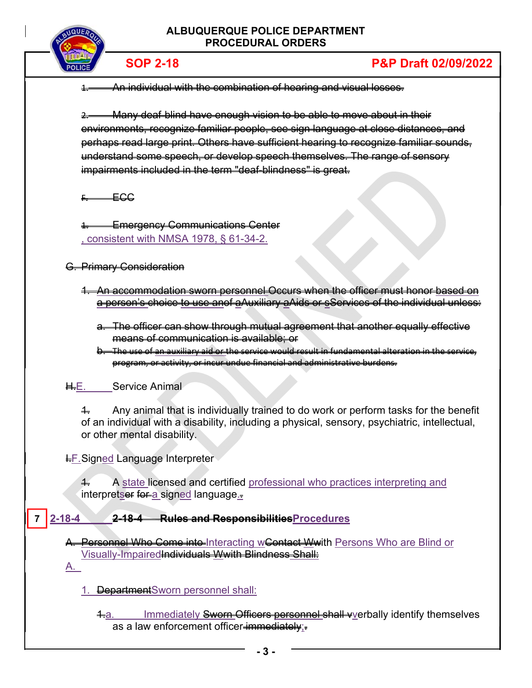

# **SOP 2-18 P&P Draft 02/09/2022**

1. An individual with the combination of hearing and visual losses.

2. Many deaf-blind have enough vision to be able to move about in their environments, recognize familiar people, see sign language at close distances, and perhaps read large print. Others have sufficient hearing to recognize familiar sounds, understand some speech, or develop speech themselves. The range of sensory impairments included in the term "deaf-blindness" is great.

 $F \rightarrow FGG$ 

**Emergency Communications Center** , consistent with NMSA 1978, § 61-34-2.

G. Primary Consideration

- 1. An accommodation sworn personnel Occurs when the officer must honor based on a person's choice to use anof aAuxiliary aAids or sServices of the individual unless:
	- a. The officer can show through mutual agreement that another equally effective means of communication is available; or
	- b. The use of an auxiliary aid or the service would result in fundamental alteration in the service, program, or activity, or incur undue financial and administrative burdens.

H.E. Service Animal

 $4.$  Any animal that is individually trained to do work or perform tasks for the benefit of an individual with a disability, including a physical, sensory, psychiatric, intellectual, or other mental disability.

**I.F. Signed Language Interpreter** 

4. A state licensed and certified professional who practices interpreting and interpretser for a signed language.

#### **2-18-4 2-18-4 Rules and ResponsibilitiesProcedures 7**

A. Personnel Who Come into Interacting wContact Wwith Persons Who are Blind or Visually-Impaired<del>Individuals Wwith Blindness Shall:</del> A.

1. DepartmentSworn personnel shall:

4.a. Immediately Sworn Officers personnel shall vverbally identify themselves as a law enforcement officer-immediately;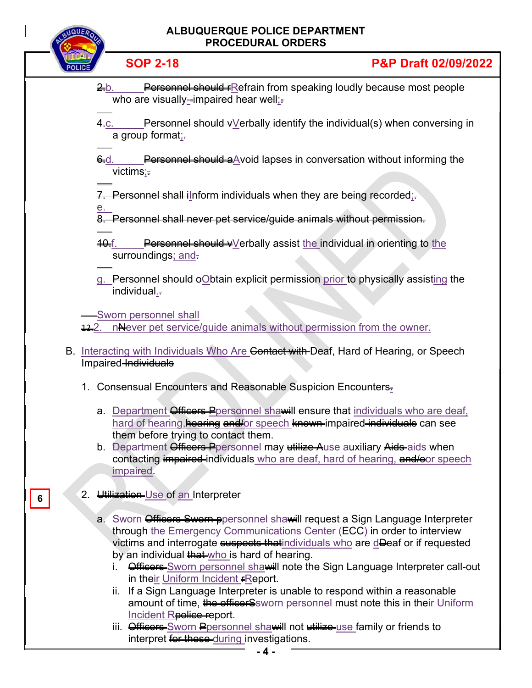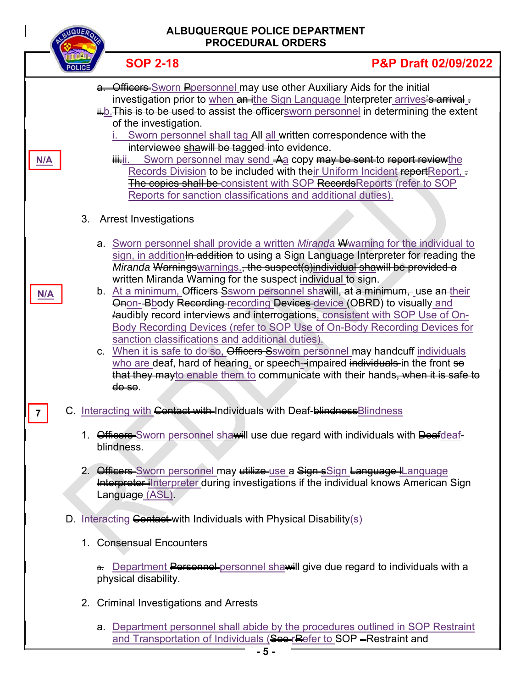| ALBUQUERQUE POLICE DEPARTMENT<br><b>NQUEA</b><br><b>PROCEDURAL ORDERS</b> |                                                |                                                                                                                                                                                                                                                                                                                                                                                                                                                                                                                                                                                                                                                                                                                                                                                                                                                                                                                                                         |
|---------------------------------------------------------------------------|------------------------------------------------|---------------------------------------------------------------------------------------------------------------------------------------------------------------------------------------------------------------------------------------------------------------------------------------------------------------------------------------------------------------------------------------------------------------------------------------------------------------------------------------------------------------------------------------------------------------------------------------------------------------------------------------------------------------------------------------------------------------------------------------------------------------------------------------------------------------------------------------------------------------------------------------------------------------------------------------------------------|
|                                                                           | <b>SOP 2-18</b>                                | <b>P&amp;P Draft 02/09/2022</b>                                                                                                                                                                                                                                                                                                                                                                                                                                                                                                                                                                                                                                                                                                                                                                                                                                                                                                                         |
| N/A                                                                       | of the investigation.<br><del>iii.</del> ii.   | a. Officers Sworn Ppersonnel may use other Auxiliary Aids for the initial<br>investigation prior to when an ithe Sign Language Interpreter arrives's arrival -<br>ii-b. This is to be used to assist the officersworn personnel in determining the extent<br>Sworn personnel shall tag All all written correspondence with the<br>interviewee shawill be tagged into evidence.<br>Sworn personnel may send -Aa copy may be sent-to report reviewthe<br>Records Division to be included with their Uniform Incident reportReport,<br>The copies shall be consistent with SOP Records Reports (refer to SOP<br>Reports for sanction classifications and additional duties).                                                                                                                                                                                                                                                                               |
| N/A                                                                       | 3. Arrest Investigations<br><del>do so</del> . | a. Sworn personnel shall provide a written Miranda Wwarning for the individual to<br>sign, in additionln addition to using a Sign Language Interpreter for reading the<br>Miranda Warningswarnings., the suspect(s) individual shawill be provided a<br>written Miranda Warning for the suspect individual to sign.<br>b. At a minimum, Officers Ssworn personnel shawill, at a minimum, use an their<br>Onon-Bbody Recording-recording Devices-device (OBRD) to visually and<br>faudibly record interviews and interrogations, consistent with SOP Use of On-<br>Body Recording Devices (refer to SOP Use of On-Body Recording Devices for<br>sanction classifications and additional duties).<br>c. When it is safe to do so. Officers Ssworn personnel may handcuff individuals<br>who are deaf, hard of hearing, or speech-impaired individuals in the front so<br>that they may to enable them to communicate with their hands, when it is safe to |
| 7                                                                         |                                                | C. Interacting with Contact with-Individuals with Deaf-blindness Blindness                                                                                                                                                                                                                                                                                                                                                                                                                                                                                                                                                                                                                                                                                                                                                                                                                                                                              |
|                                                                           | blindness.                                     | 1. Officers Sworn personnel shawill use due regard with individuals with Deafdeaf-                                                                                                                                                                                                                                                                                                                                                                                                                                                                                                                                                                                                                                                                                                                                                                                                                                                                      |
|                                                                           | Language (ASL).                                | 2. Officers-Sworn personnel may utilize-use a Sign sSign Language IL anguage<br>Interpreter interpreter during investigations if the individual knows American Sign                                                                                                                                                                                                                                                                                                                                                                                                                                                                                                                                                                                                                                                                                                                                                                                     |
|                                                                           |                                                | D. Interacting Contact-with Individuals with Physical Disability(s)                                                                                                                                                                                                                                                                                                                                                                                                                                                                                                                                                                                                                                                                                                                                                                                                                                                                                     |
|                                                                           | 1. Consensual Encounters                       |                                                                                                                                                                                                                                                                                                                                                                                                                                                                                                                                                                                                                                                                                                                                                                                                                                                                                                                                                         |
|                                                                           | physical disability.                           | a. Department Personnel personnel shawill give due regard to individuals with a                                                                                                                                                                                                                                                                                                                                                                                                                                                                                                                                                                                                                                                                                                                                                                                                                                                                         |
|                                                                           | 2. Criminal Investigations and Arrests         |                                                                                                                                                                                                                                                                                                                                                                                                                                                                                                                                                                                                                                                                                                                                                                                                                                                                                                                                                         |
|                                                                           |                                                | a. Department personnel shall abide by the procedures outlined in SOP Restraint<br>and Transportation of Individuals (See-rRefer to SOP - Restraint and                                                                                                                                                                                                                                                                                                                                                                                                                                                                                                                                                                                                                                                                                                                                                                                                 |